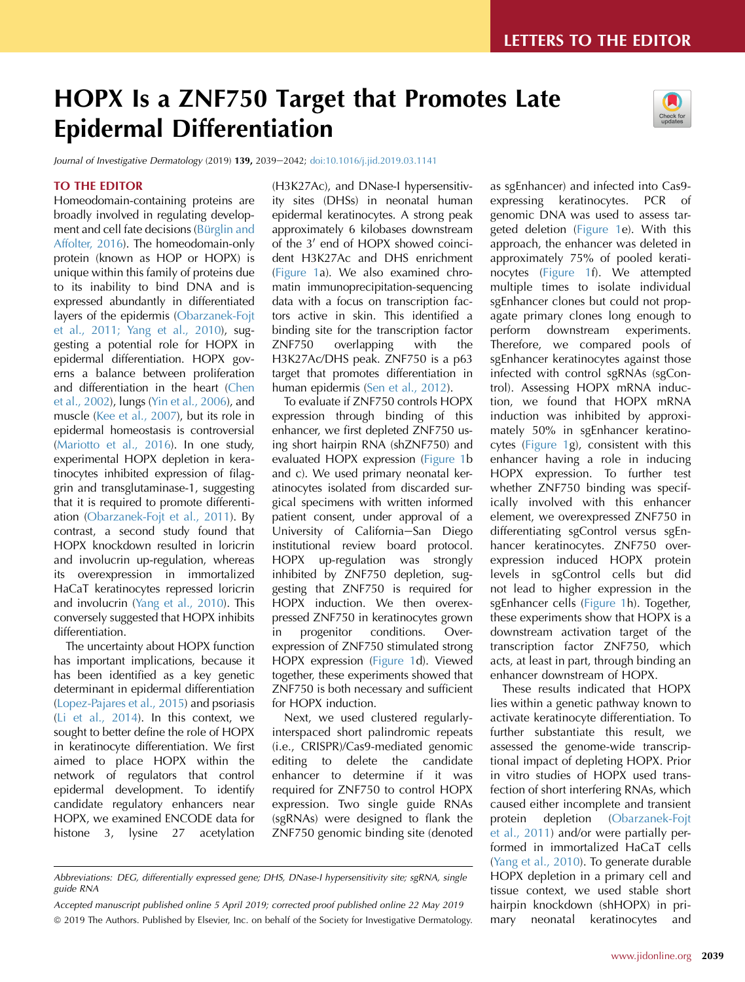# HOPX Is a ZNF750 Target that Promotes Late Epidermal Differentiation

Journal of Investigative Dermatology (2019) 139, 2039-2042; [doi:10.1016/j.jid.2019.03.1141](https://doi.org/10.1016/j.jid.2019.03.1141)

#### TO THE EDITOR

Homeodomain-containing proteins are broadly involved in regulating development and cell fate decisions (Bürglin and [Affolter, 2016\)](#page-3-0). The homeodomain-only protein (known as HOP or HOPX) is unique within this family of proteins due to its inability to bind DNA and is expressed abundantly in differentiated layers of the epidermis [\(Obarzanek-Fojt](#page-3-0) [et al., 2011; Yang et al., 2010](#page-3-0)), suggesting a potential role for HOPX in epidermal differentiation. HOPX governs a balance between proliferation and differentiation in the heart ([Chen](#page-3-0) [et al., 2002\)](#page-3-0), lungs ([Yin et al., 2006\)](#page-3-0), and muscle ([Kee et al., 2007\)](#page-3-0), but its role in epidermal homeostasis is controversial [\(Mariotto et al., 2016](#page-3-0)). In one study, experimental HOPX depletion in keratinocytes inhibited expression of filaggrin and transglutaminase-1, suggesting that it is required to promote differentiation ([Obarzanek-Fojt et al., 2011](#page-3-0)). By contrast, a second study found that HOPX knockdown resulted in loricrin and involucrin up-regulation, whereas its overexpression in immortalized HaCaT keratinocytes repressed loricrin and involucrin [\(Yang et al., 2010](#page-3-0)). This conversely suggested that HOPX inhibits differentiation.

The uncertainty about HOPX function has important implications, because it has been identified as a key genetic determinant in epidermal differentiation [\(Lopez-Pajares et al., 2015](#page-3-0)) and psoriasis [\(Li et al., 2014\)](#page-3-0). In this context, we sought to better define the role of HOPX in keratinocyte differentiation. We first aimed to place HOPX within the network of regulators that control epidermal development. To identify candidate regulatory enhancers near HOPX, we examined ENCODE data for histone 3, lysine 27 acetylation

(H3K27Ac), and DNase-I hypersensitivity sites (DHSs) in neonatal human epidermal keratinocytes. A strong peak approximately 6 kilobases downstream of the 3' end of HOPX showed coincident H3K27Ac and DHS enrichment ([Figure 1a](#page-1-0)). We also examined chromatin immunoprecipitation-sequencing data with a focus on transcription factors active in skin. This identified a binding site for the transcription factor ZNF750 overlapping with the H3K27Ac/DHS peak. ZNF750 is a p63 target that promotes differentiation in human epidermis ([Sen et al., 2012](#page-3-0)).

To evaluate if ZNF750 controls HOPX expression through binding of this enhancer, we first depleted ZNF750 using short hairpin RNA (shZNF750) and evaluated HOPX expression [\(Figure 1b](#page-1-0) and c). We used primary neonatal keratinocytes isolated from discarded surgical specimens with written informed patient consent, under approval of a University of California-San Diego institutional review board protocol. HOPX up-regulation was strongly inhibited by ZNF750 depletion, suggesting that ZNF750 is required for HOPX induction. We then overexpressed ZNF750 in keratinocytes grown in progenitor conditions. Overexpression of ZNF750 stimulated strong HOPX expression [\(Figure 1d](#page-1-0)). Viewed together, these experiments showed that ZNF750 is both necessary and sufficient for HOPX induction.

Next, we used clustered regularlyinterspaced short palindromic repeats (i.e., CRISPR)/Cas9-mediated genomic editing to delete the candidate enhancer to determine if it was required for ZNF750 to control HOPX expression. Two single guide RNAs (sgRNAs) were designed to flank the ZNF750 genomic binding site (denoted

Accepted manuscript published online 5 April 2019; corrected proof published online 22 May 2019 ª 2019 The Authors. Published by Elsevier, Inc. on behalf of the Society for Investigative Dermatology. as sgEnhancer) and infected into Cas9 expressing keratinocytes. PCR of genomic DNA was used to assess targeted deletion ([Figure 1e](#page-1-0)). With this approach, the enhancer was deleted in approximately 75% of pooled keratinocytes ([Figure 1f](#page-1-0)). We attempted multiple times to isolate individual sgEnhancer clones but could not propagate primary clones long enough to perform downstream experiments. Therefore, we compared pools of sgEnhancer keratinocytes against those infected with control sgRNAs (sgControl). Assessing HOPX mRNA induction, we found that HOPX mRNA induction was inhibited by approximately 50% in sgEnhancer keratinocytes ([Figure 1g](#page-1-0)), consistent with this enhancer having a role in inducing HOPX expression. To further test whether ZNF750 binding was specifically involved with this enhancer element, we overexpressed ZNF750 in differentiating sgControl versus sgEnhancer keratinocytes. ZNF750 overexpression induced HOPX protein levels in sgControl cells but did not lead to higher expression in the sgEnhancer cells ([Figure 1h](#page-1-0)). Together, these experiments show that HOPX is a downstream activation target of the transcription factor ZNF750, which acts, at least in part, through binding an enhancer downstream of HOPX.

These results indicated that HOPX lies within a genetic pathway known to activate keratinocyte differentiation. To further substantiate this result, we assessed the genome-wide transcriptional impact of depleting HOPX. Prior in vitro studies of HOPX used transfection of short interfering RNAs, which caused either incomplete and transient protein depletion ([Obarzanek-Fojt](#page-3-0) [et al., 2011](#page-3-0)) and/or were partially performed in immortalized HaCaT cells ([Yang et al., 2010](#page-3-0)). To generate durable HOPX depletion in a primary cell and tissue context, we used stable short hairpin knockdown (shHOPX) in primary neonatal keratinocytes and

Abbreviations: DEG, differentially expressed gene; DHS, DNase-I hypersensitivity site; sgRNA, single guide RNA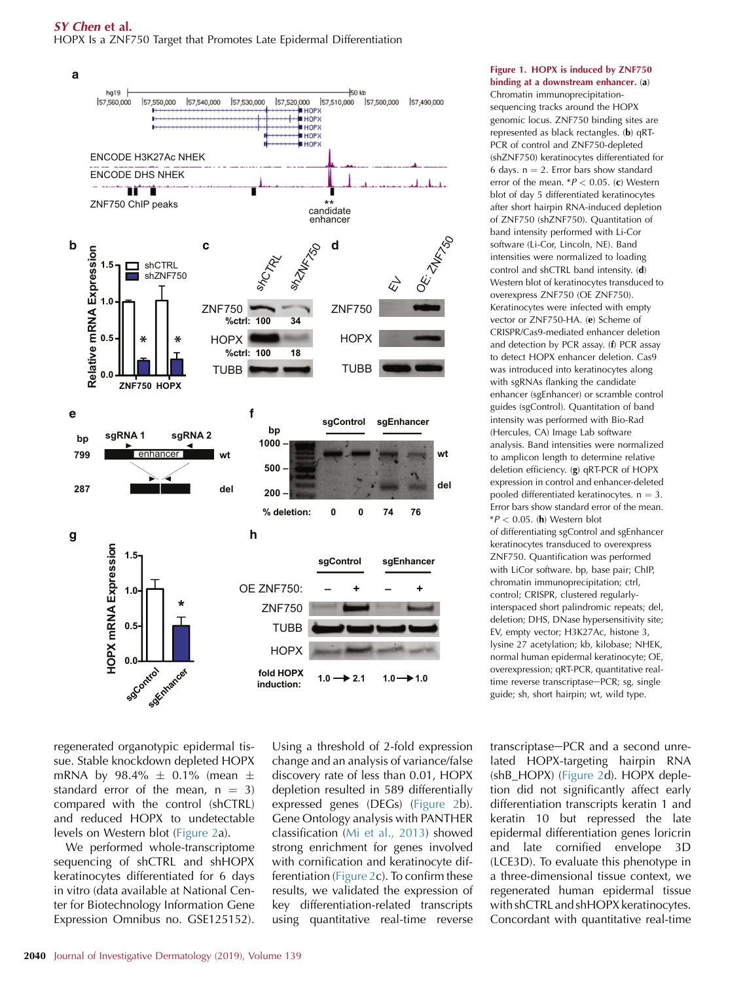#### <span id="page-1-0"></span>SY Chen et al. HOPX Is a ZNF750 Target that Promotes Late Epidermal Differentiation



#### Figure 1. HOPX is induced by ZNF750 binding at a downstream enhancer. (a) Chromatin immunoprecipitation-

sequencing tracks around the HOPX genomic locus. ZNF750 binding sites are represented as black rectangles. (b) qRT-PCR of control and ZNF750-depleted (shZNF750) keratinocytes differentiated for 6 days.  $n = 2$ . Error bars show standard error of the mean.  $*P < 0.05$ . (c) Western blot of day 5 differentiated keratinocytes after short hairpin RNA-induced depletion of ZNF750 (shZNF750). Quantitation of band intensity performed with Li-Cor software (Li-Cor, Lincoln, NE). Band intensities were normalized to loading control and shCTRL band intensity. (d) Western blot of keratinocytes transduced to overexpress ZNF750 (OE ZNF750). Keratinocytes were infected with empty vector or ZNF750-HA. (e) Scheme of CRISPR/Cas9-mediated enhancer deletion and detection by PCR assay. (f) PCR assay to detect HOPX enhancer deletion. Cas9 was introduced into keratinocytes along with sgRNAs flanking the candidate enhancer (sgEnhancer) or scramble control guides (sgControl). Quantitation of band intensity was performed with Bio-Rad (Hercules, CA) Image Lab software analysis. Band intensities were normalized to amplicon length to determine relative deletion efficiency. (g) qRT-PCR of HOPX expression in control and enhancer-deleted pooled differentiated keratinocytes.  $n = 3$ . Error bars show standard error of the mean.  $*P < 0.05$ . (h) Western blot of differentiating sgControl and sgEnhancer keratinocytes transduced to overexpress ZNF750. Quantification was performed with LiCor software. bp, base pair; ChIP, chromatin immunoprecipitation; ctrl, control; CRISPR, clustered regularlyinterspaced short palindromic repeats; del, deletion; DHS, DNase hypersensitivity site; EV, empty vector; H3K27Ac, histone 3, lysine 27 acetylation; kb, kilobase; NHEK, normal human epidermal keratinocyte; OE, overexpression; qRT-PCR, quantitative realtime reverse transcriptase-PCR; sg, single guide; sh, short hairpin; wt, wild type.

regenerated organotypic epidermal tissue. Stable knockdown depleted HOPX mRNA by  $98.4\% \pm 0.1\%$  (mean  $\pm$ standard error of the mean,  $n = 3$ ) compared with the control (shCTRL) and reduced HOPX to undetectable levels on Western blot ([Figure 2](#page-2-0)a).

We performed whole-transcriptome sequencing of shCTRL and shHOPX keratinocytes differentiated for 6 days in vitro (data available at National Center for Biotechnology Information Gene Expression Omnibus no. GSE125152).

Using a threshold of 2-fold expression change and an analysis of variance/false discovery rate of less than 0.01, HOPX depletion resulted in 589 differentially expressed genes (DEGs) ([Figure 2](#page-2-0)b). Gene Ontology analysis with PANTHER classification ([Mi et al., 2013](#page-3-0)) showed strong enrichment for genes involved with cornification and keratinocyte differentiation ([Figure 2c](#page-2-0)). To confirm these results, we validated the expression of key differentiation-related transcripts using quantitative real-time reverse transcriptase-PCR and a second unrelated HOPX-targeting hairpin RNA (shB\_HOPX) [\(Figure 2d](#page-2-0)). HOPX depletion did not significantly affect early differentiation transcripts keratin 1 and keratin 10 but repressed the late epidermal differentiation genes loricrin and late cornified envelope 3D (LCE3D). To evaluate this phenotype in a three-dimensional tissue context, we regenerated human epidermal tissue with shCTRL and shHOPX keratinocytes. Concordant with quantitative real-time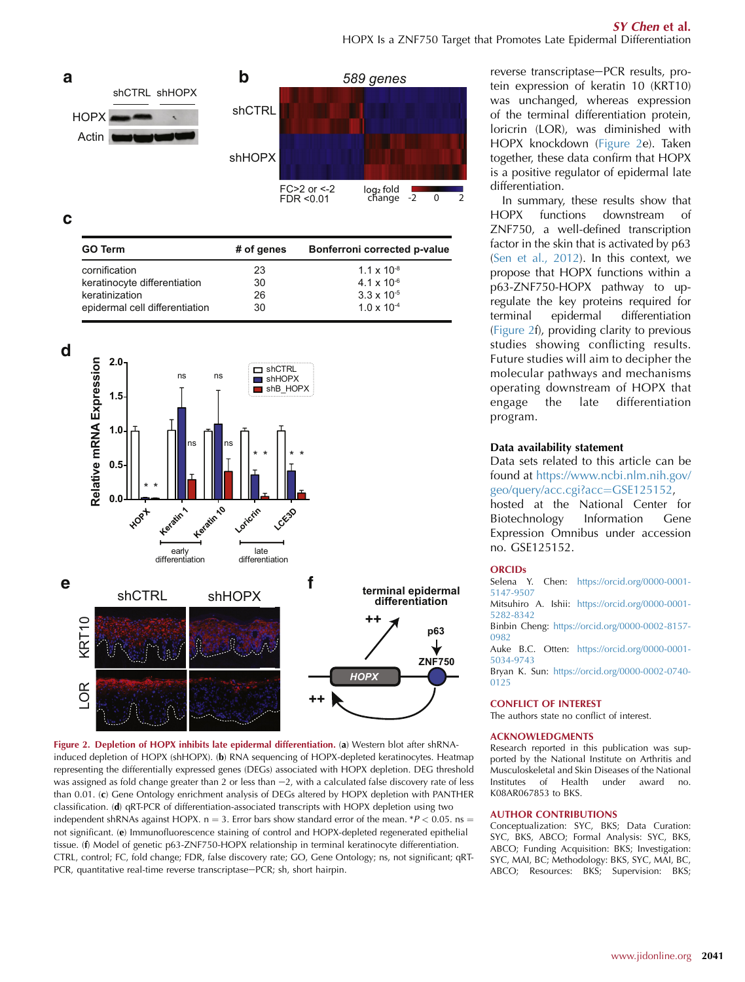<span id="page-2-0"></span>

**c**

| <b>GO Term</b>                 | # of genes | Bonferroni corrected p-value |
|--------------------------------|------------|------------------------------|
| cornification                  | 23         | $1.1 \times 10^{-8}$         |
| keratinocyte differentiation   | 30         | $4.1 \times 10^{-6}$         |
| keratinization                 | 26         | $3.3 \times 10^{-5}$         |
| epidermal cell differentiation | 30         | $1.0 \times 10^{-4}$         |



Figure 2. Depletion of HOPX inhibits late epidermal differentiation. (a) Western blot after shRNAinduced depletion of HOPX (shHOPX). (b) RNA sequencing of HOPX-depleted keratinocytes. Heatmap representing the differentially expressed genes (DEGs) associated with HOPX depletion. DEG threshold was assigned as fold change greater than 2 or less than  $-2$ , with a calculated false discovery rate of less than 0.01. (c) Gene Ontology enrichment analysis of DEGs altered by HOPX depletion with PANTHER classification. (d) qRT-PCR of differentiation-associated transcripts with HOPX depletion using two independent shRNAs against HOPX. n = 3. Error bars show standard error of the mean. \*P < 0.05. ns = not significant. (e) Immunofluorescence staining of control and HOPX-depleted regenerated epithelial tissue. (f) Model of genetic p63-ZNF750-HOPX relationship in terminal keratinocyte differentiation. CTRL, control; FC, fold change; FDR, false discovery rate; GO, Gene Ontology; ns, not significant; qRT-PCR, quantitative real-time reverse transcriptase-PCR; sh, short hairpin.

reverse transcriptase-PCR results, protein expression of keratin 10 (KRT10) was unchanged, whereas expression of the terminal differentiation protein, loricrin (LOR), was diminished with HOPX knockdown (Figure 2e). Taken together, these data confirm that HOPX is a positive regulator of epidermal late differentiation.

In summary, these results show that HOPX functions downstream of ZNF750, a well-defined transcription factor in the skin that is activated by p63 ([Sen et al., 2012\)](#page-3-0). In this context, we propose that HOPX functions within a p63-ZNF750-HOPX pathway to upregulate the key proteins required for<br>terminal epidermal differentiation terminal epidermal differentiation (Figure 2f), providing clarity to previous studies showing conflicting results. Future studies will aim to decipher the molecular pathways and mechanisms operating downstream of HOPX that engage the late differentiation program.

#### Data availability statement

Data sets related to this article can be found at [https://www.ncbi.nlm.nih.gov/](https://www.ncbi.nlm.nih.gov/geo/query/acc.cgi?acc=GSE125152) [geo/query/acc.cgi?acc](https://www.ncbi.nlm.nih.gov/geo/query/acc.cgi?acc=GSE125152)=[GSE125152](https://www.ncbi.nlm.nih.gov/geo/query/acc.cgi?acc=GSE125152),

hosted at the National Center for Biotechnology Information Gene Expression Omnibus under accession no. GSE125152.

#### **ORCIDs**

Selena Y. Chen: [https://orcid.org/0000-0001-](https://orcid.org/0000-0001-5147-9507) [5147-9507](https://orcid.org/0000-0001-5147-9507)

Mitsuhiro A. Ishii: [https://orcid.org/0000-0001-](https://orcid.org/0000-0001-5282-8342) [5282-8342](https://orcid.org/0000-0001-5282-8342)

Binbin Cheng: [https://orcid.org/0000-0002-8157-](https://orcid.org/0000-0002-8157-0982) [0982](https://orcid.org/0000-0002-8157-0982)

Auke B.C. Otten: [https://orcid.org/0000-0001-](https://orcid.org/0000-0001-5034-9743) [5034-9743](https://orcid.org/0000-0001-5034-9743)

Bryan K. Sun: [https://orcid.org/0000-0002-0740-](https://orcid.org/0000-0002-0740-0125) [0125](https://orcid.org/0000-0002-0740-0125)

#### CONFLICT OF INTEREST

The authors state no conflict of interest.

#### ACKNOWLEDGMENTS

Research reported in this publication was supported by the National Institute on Arthritis and Musculoskeletal and Skin Diseases of the National Institutes of Health under award no. K08AR067853 to BKS.

#### AUTHOR CONTRIBUTIONS

Conceptualization: SYC, BKS; Data Curation: SYC, BKS, ABCO; Formal Analysis: SYC, BKS, ABCO; Funding Acquisition: BKS; Investigation: SYC, MAI, BC; Methodology: BKS, SYC, MAI, BC, ABCO; Resources: BKS; Supervision: BKS;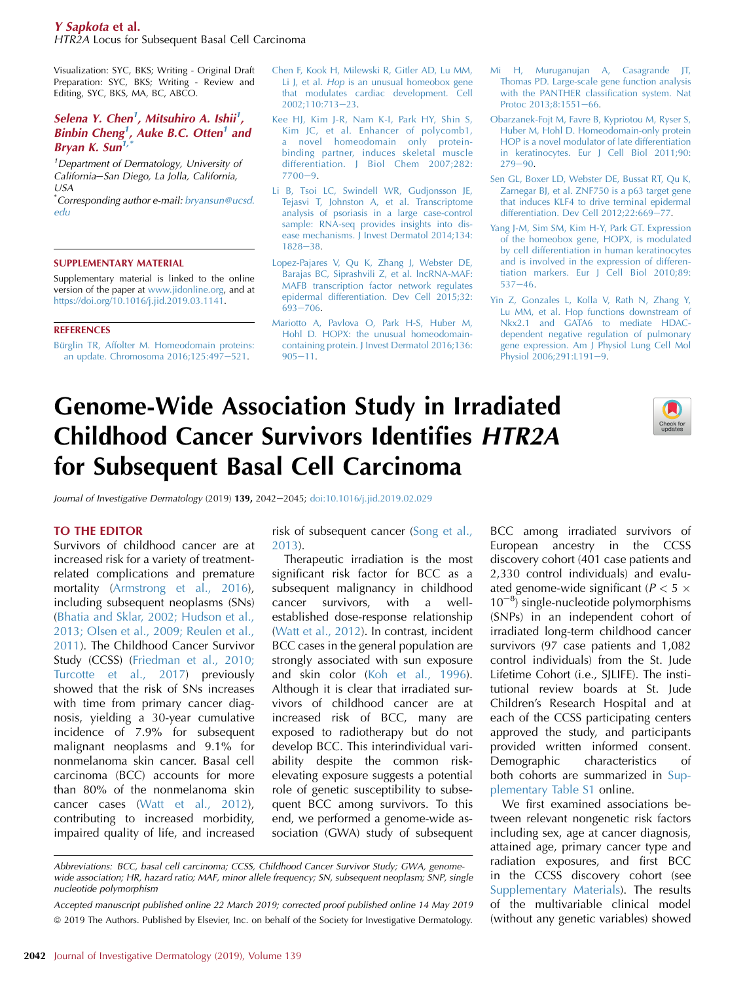#### <span id="page-3-0"></span>Y Sapkota et al.

HTR2A Locus for Subsequent Basal Cell Carcinoma

Visualization: SYC, BKS; Writing - Original Draft Preparation: SYC, BKS; Writing - Review and Editing, SYC, BKS, MA, BC, ABCO.

# Selena Y. Chen<sup>1</sup>, Mitsuhiro A. Ishii<sup>1</sup>, Binbin Cheng<sup>1</sup>, Auke B.C. Otten<sup>1</sup> and Bryan K. Sun<sup>1</sup>

<sup>1</sup>Department of Dermatology, University of California-San Diego, La Jolla, California,  $I/SA$ 

\* Corresponding author e-mail: [bryansun@ucsd.](mailto:bryansun@ucsd.edu) [edu](mailto:bryansun@ucsd.edu)

#### SUPPLEMENTARY MATERIAL

Supplementary material is linked to the online version of the paper at [www.jidonline.org](http://www.jidonline.org), and at [https://doi.org/10.1016/j.jid.2019.03.1141.](https://doi.org/10.1016/j.jid.2019.03.1141)

#### **REFERENCES**

Bürglin TR, Affolter M. Homeodomain proteins: [an update. Chromosoma 2016;125:497](http://refhub.elsevier.com/S0022-202X(19)31392-2/sref1)-[521.](http://refhub.elsevier.com/S0022-202X(19)31392-2/sref1)

- [Chen F, Kook H, Milewski R, Gitler AD, Lu MM,](http://refhub.elsevier.com/S0022-202X(19)31392-2/sref2) Li J, et al. Hop [is an unusual homeobox gene](http://refhub.elsevier.com/S0022-202X(19)31392-2/sref2) [that modulates cardiac development. Cell](http://refhub.elsevier.com/S0022-202X(19)31392-2/sref2) [2002;110:713](http://refhub.elsevier.com/S0022-202X(19)31392-2/sref2)e[23](http://refhub.elsevier.com/S0022-202X(19)31392-2/sref2).
- [Kee HJ, Kim J-R, Nam K-I, Park HY, Shin S,](http://refhub.elsevier.com/S0022-202X(19)31392-2/sref3) [Kim JC, et al. Enhancer of polycomb1,](http://refhub.elsevier.com/S0022-202X(19)31392-2/sref3) [a novel homeodomain only protein](http://refhub.elsevier.com/S0022-202X(19)31392-2/sref3)[binding partner, induces skeletal muscle](http://refhub.elsevier.com/S0022-202X(19)31392-2/sref3) [differentiation. J Biol Chem 2007;282:](http://refhub.elsevier.com/S0022-202X(19)31392-2/sref3)  $7700 - 9.$  $7700 - 9.$  $7700 - 9.$  $7700 - 9.$
- [Li B, Tsoi LC, Swindell WR, Gudjonsson JE,](http://refhub.elsevier.com/S0022-202X(19)31392-2/sref4) [Tejasvi T, Johnston A, et al. Transcriptome](http://refhub.elsevier.com/S0022-202X(19)31392-2/sref4) [analysis of psoriasis in a large case-control](http://refhub.elsevier.com/S0022-202X(19)31392-2/sref4) [sample: RNA-seq provides insights into dis](http://refhub.elsevier.com/S0022-202X(19)31392-2/sref4)[ease mechanisms. J Invest Dermatol 2014;134:](http://refhub.elsevier.com/S0022-202X(19)31392-2/sref4) [1828](http://refhub.elsevier.com/S0022-202X(19)31392-2/sref4)-[38](http://refhub.elsevier.com/S0022-202X(19)31392-2/sref4)
- [Lopez-Pajares V, Qu K, Zhang J, Webster DE,](http://refhub.elsevier.com/S0022-202X(19)31392-2/sref5) [Barajas BC, Siprashvili Z, et al. lncRNA-MAF:](http://refhub.elsevier.com/S0022-202X(19)31392-2/sref5) [MAFB transcription factor network regulates](http://refhub.elsevier.com/S0022-202X(19)31392-2/sref5) [epidermal differentiation. Dev Cell 2015;32:](http://refhub.elsevier.com/S0022-202X(19)31392-2/sref5)  $693 - 706$  $693 - 706$  $693 - 706$ .
- [Mariotto A, Pavlova O, Park H-S, Huber M,](http://refhub.elsevier.com/S0022-202X(19)31392-2/sref6) [Hohl D. HOPX: the unusual homeodomain](http://refhub.elsevier.com/S0022-202X(19)31392-2/sref6)[containing protein. J Invest Dermatol 2016;136:](http://refhub.elsevier.com/S0022-202X(19)31392-2/sref6)  $905 - 11.$  $905 - 11.$  $905 - 11.$  $905 - 11.$
- [Mi H, Muruganujan A, Casagrande JT,](http://refhub.elsevier.com/S0022-202X(19)31392-2/sref7) [Thomas PD. Large-scale gene function analysis](http://refhub.elsevier.com/S0022-202X(19)31392-2/sref7) [with the PANTHER classification system. Nat](http://refhub.elsevier.com/S0022-202X(19)31392-2/sref7) [Protoc 2013;8:1551](http://refhub.elsevier.com/S0022-202X(19)31392-2/sref7)-[66](http://refhub.elsevier.com/S0022-202X(19)31392-2/sref7).
- [Obarzanek-Fojt M, Favre B, Kypriotou M, Ryser S,](http://refhub.elsevier.com/S0022-202X(19)31392-2/sref8) [Huber M, Hohl D. Homeodomain-only protein](http://refhub.elsevier.com/S0022-202X(19)31392-2/sref8) [HOP is a novel modulator of late differentiation](http://refhub.elsevier.com/S0022-202X(19)31392-2/sref8) [in keratinocytes. Eur J Cell Biol 2011;90:](http://refhub.elsevier.com/S0022-202X(19)31392-2/sref8)  $279 - 90.$  $279 - 90.$  $279 - 90.$  $279 - 90.$
- [Sen GL, Boxer LD, Webster DE, Bussat RT, Qu K,](http://refhub.elsevier.com/S0022-202X(19)31392-2/sref9) [Zarnegar BJ, et al. ZNF750 is a p63 target gene](http://refhub.elsevier.com/S0022-202X(19)31392-2/sref9) [that induces KLF4 to drive terminal epidermal](http://refhub.elsevier.com/S0022-202X(19)31392-2/sref9) differentiation. Dev Cell  $2012;22:669-77$ .
- [Yang J-M, Sim SM, Kim H-Y, Park GT. Expression](http://refhub.elsevier.com/S0022-202X(19)31392-2/sref10) [of the homeobox gene, HOPX, is modulated](http://refhub.elsevier.com/S0022-202X(19)31392-2/sref10) [by cell differentiation in human keratinocytes](http://refhub.elsevier.com/S0022-202X(19)31392-2/sref10) [and is involved in the expression of differen](http://refhub.elsevier.com/S0022-202X(19)31392-2/sref10)[tiation markers. Eur J Cell Biol 2010;89:](http://refhub.elsevier.com/S0022-202X(19)31392-2/sref10)  $537 - 46$  $537 - 46$ .
- [Yin Z, Gonzales L, Kolla V, Rath N, Zhang Y,](http://refhub.elsevier.com/S0022-202X(19)31392-2/sref11) [Lu MM, et al. Hop functions downstream of](http://refhub.elsevier.com/S0022-202X(19)31392-2/sref11) [Nkx2.1 and GATA6 to mediate HDAC](http://refhub.elsevier.com/S0022-202X(19)31392-2/sref11)[dependent negative regulation of pulmonary](http://refhub.elsevier.com/S0022-202X(19)31392-2/sref11) [gene expression. Am J Physiol Lung Cell Mol](http://refhub.elsevier.com/S0022-202X(19)31392-2/sref11) Physiol  $2006;291:$  $2006;291:$  $2006;291:$ L191-9.

# Genome-Wide Association Study in Irradiated Childhood Cancer Survivors Identifies HTR2A for Subsequent Basal Cell Carcinoma



Journal of Investigative Dermatology (2019) 139, 2042-2045; [doi:10.1016/j.jid.2019.02.029](https://doi.org/10.1016/j.jid.2019.02.029)

#### TO THE EDITOR

Survivors of childhood cancer are at increased risk for a variety of treatmentrelated complications and premature mortality (Armstrong et al., 2016), including subsequent neoplasms (SNs) (Bhatia and Sklar, 2002; Hudson et al., 2013; Olsen et al., 2009; Reulen et al., 2011). The Childhood Cancer Survivor Study (CCSS) (Friedman et al., 2010; Turcotte et al., 2017) previously showed that the risk of SNs increases with time from primary cancer diagnosis, yielding a 30-year cumulative incidence of 7.9% for subsequent malignant neoplasms and 9.1% for nonmelanoma skin cancer. Basal cell carcinoma (BCC) accounts for more than 80% of the nonmelanoma skin cancer cases (Watt et al., 2012), contributing to increased morbidity, impaired quality of life, and increased

risk of subsequent cancer (Song et al., 2013).

Therapeutic irradiation is the most significant risk factor for BCC as a subsequent malignancy in childhood cancer survivors, with a wellestablished dose-response relationship (Watt et al., 2012). In contrast, incident BCC cases in the general population are strongly associated with sun exposure and skin color (Koh et al., 1996). Although it is clear that irradiated survivors of childhood cancer are at increased risk of BCC, many are exposed to radiotherapy but do not develop BCC. This interindividual variability despite the common riskelevating exposure suggests a potential role of genetic susceptibility to subsequent BCC among survivors. To this end, we performed a genome-wide association (GWA) study of subsequent BCC among irradiated survivors of European ancestry in the CCSS discovery cohort (401 case patients and 2,330 control individuals) and evaluated genome-wide significant ( $P < 5 \times$  $10^{-8}$ ) single-nucleotide polymorphisms (SNPs) in an independent cohort of irradiated long-term childhood cancer survivors (97 case patients and 1,082 control individuals) from the St. Jude Lifetime Cohort (i.e., SJLIFE). The institutional review boards at St. Jude Children's Research Hospital and at each of the CCSS participating centers approved the study, and participants provided written informed consent. Demographic characteristics of both cohorts are summarized in Supplementary Table S1 online.

We first examined associations between relevant nongenetic risk factors including sex, age at cancer diagnosis, attained age, primary cancer type and radiation exposures, and first BCC in the CCSS discovery cohort (see Supplementary Materials). The results of the multivariable clinical model (without any genetic variables) showed

Abbreviations: BCC, basal cell carcinoma; CCSS, Childhood Cancer Survivor Study; GWA, genomewide association; HR, hazard ratio; MAF, minor allele frequency; SN, subsequent neoplasm; SNP, single nucleotide polymorphism

Accepted manuscript published online 22 March 2019; corrected proof published online 14 May 2019 ª 2019 The Authors. Published by Elsevier, Inc. on behalf of the Society for Investigative Dermatology.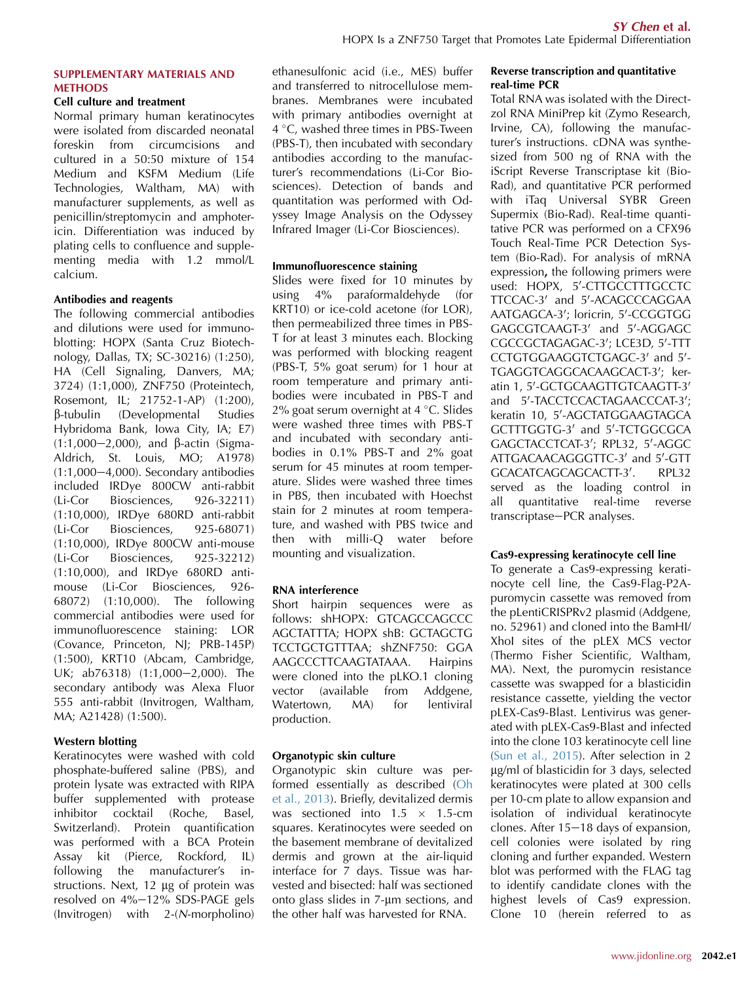# SUPPLEMENTARY MATERIALS AND **METHODS**

### Cell culture and treatment

Normal primary human keratinocytes were isolated from discarded neonatal foreskin from circumcisions and cultured in a 50:50 mixture of 154 Medium and KSFM Medium (Life Technologies, Waltham, MA) with manufacturer supplements, as well as penicillin/streptomycin and amphotericin. Differentiation was induced by plating cells to confluence and supplementing media with 1.2 mmol/L calcium.

#### Antibodies and reagents

The following commercial antibodies and dilutions were used for immunoblotting: HOPX (Santa Cruz Biotechnology, Dallas, TX; SC-30216) (1:250), HA (Cell Signaling, Danvers, MA; 3724) (1:1,000), ZNF750 (Proteintech, Rosemont, IL; 21752-1-AP) (1:200), b-tubulin (Developmental Studies Hybridoma Bank, Iowa City, IA; E7)  $(1:1,000-2,000)$ , and  $\beta$ -actin (Sigma-Aldrich, St. Louis, MO; A1978)  $(1:1,000-4,000)$ . Secondary antibodies included IRDye 800CW anti-rabbit (Li-Cor Biosciences, 926-32211) (1:10,000), IRDye 680RD anti-rabbit (Li-Cor Biosciences, 925-68071) (1:10,000), IRDye 800CW anti-mouse (Li-Cor Biosciences, 925-32212) (1:10,000), and IRDye 680RD antimouse (Li-Cor Biosciences, 926- 68072) (1:10,000). The following commercial antibodies were used for immunofluorescence staining: LOR (Covance, Princeton, NJ; PRB-145P) (1:500), KRT10 (Abcam, Cambridge, UK; ab76318) (1:1,000-2,000). The secondary antibody was Alexa Fluor 555 anti-rabbit (Invitrogen, Waltham, MA; A21428) (1:500).

#### Western blotting

Keratinocytes were washed with cold phosphate-buffered saline (PBS), and protein lysate was extracted with RIPA buffer supplemented with protease inhibitor cocktail (Roche, Basel, Switzerland). Protein quantification was performed with a BCA Protein Assay kit (Pierce, Rockford, IL) following the manufacturer's instructions. Next,  $12 \mu g$  of protein was resolved on 4%-12% SDS-PAGE gels (Invitrogen) with 2-(N-morpholino) ethanesulfonic acid (i.e., MES) buffer and transferred to nitrocellulose membranes. Membranes were incubated with primary antibodies overnight at  $4^{\circ}$ C, washed three times in PBS-Tween (PBS-T), then incubated with secondary antibodies according to the manufacturer's recommendations (Li-Cor Biosciences). Detection of bands and quantitation was performed with Odyssey Image Analysis on the Odyssey Infrared Imager (Li-Cor Biosciences).

#### Immunofluorescence staining

Slides were fixed for 10 minutes by using 4% paraformaldehyde (for KRT10) or ice-cold acetone (for LOR), then permeabilized three times in PBS-T for at least 3 minutes each. Blocking was performed with blocking reagent (PBS-T, 5% goat serum) for 1 hour at room temperature and primary antibodies were incubated in PBS-T and 2% goat serum overnight at  $4^{\circ}$ C. Slides were washed three times with PBS-T and incubated with secondary antibodies in 0.1% PBS-T and 2% goat serum for 45 minutes at room temperature. Slides were washed three times in PBS, then incubated with Hoechst stain for 2 minutes at room temperature, and washed with PBS twice and then with milli-Q water before mounting and visualization.

# RNA interference

Short hairpin sequences were as follows: shHOPX: GTCAGCCAGCCC AGCTATTTA; HOPX shB: GCTAGCTG TCCTGCTGTTTAA; shZNF750: GGA AAGCCCTTCAAGTATAAA. Hairpins were cloned into the pLKO.1 cloning vector (available from Addgene, Watertown, MA) for lentiviral production.

# Organotypic skin culture

Organotypic skin culture was performed essentially as described ([Oh](#page-5-0) [et al., 2013](#page-5-0)). Briefly, devitalized dermis was sectioned into  $1.5 \times 1.5$ -cm squares. Keratinocytes were seeded on the basement membrane of devitalized dermis and grown at the air-liquid interface for 7 days. Tissue was harvested and bisected: half was sectioned onto glass slides in 7-um sections, and the other half was harvested for RNA.

### Reverse transcription and quantitative real-time PCR

Total RNA was isolated with the Directzol RNA MiniPrep kit (Zymo Research, Irvine, CA), following the manufacturer's instructions. cDNA was synthesized from 500 ng of RNA with the iScript Reverse Transcriptase kit (Bio-Rad), and quantitative PCR performed with iTaq Universal SYBR Green Supermix (Bio-Rad). Real-time quantitative PCR was performed on a CFX96 Touch Real-Time PCR Detection System (Bio-Rad). For analysis of mRNA expression, the following primers were used: HOPX, 5'-CTTGCCTTTGCCTC TTCCAC-3' and 5'-ACAGCCCAGGAA AATGAGCA-3'; loricrin, 5'-CCGGTGG  $GAGCGTCAAGT-3'$  and  $5'$ -AGGAGC CGCCGCTAGAGAC-3'; LCE3D, 5'-TTT CCTGTGGAAGGTCTGAGC-3' and 5'-TGAGGTCAGGCACAAGCACT-3'; keratin 1, 5'-GCTGCAAGTTGTCAAGTT-3' and 5'-TACCTCCACTAGAACCCAT-3'; keratin 10, 5'-AGCTATGGAAGTAGCA GCTTTGGTG-3' and 5'-TCTGGCGCA GAGCTACCTCAT-3'; RPL32, 5'-AGGC ATTGACAACAGGGTTC-3' and 5'-GTT GCACATCAGCAGCACTT-3'. . RPL32 served as the loading control in all quantitative real-time reverse transcriptase-PCR analyses.

#### Cas9-expressing keratinocyte cell line

To generate a Cas9-expressing keratinocyte cell line, the Cas9-Flag-P2Apuromycin cassette was removed from the pLentiCRISPRv2 plasmid (Addgene, no. 52961) and cloned into the BamHI/ XhoI sites of the pLEX MCS vector (Thermo Fisher Scientific, Waltham, MA). Next, the puromycin resistance cassette was swapped for a blasticidin resistance cassette, yielding the vector pLEX-Cas9-Blast. Lentivirus was generated with pLEX-Cas9-Blast and infected into the clone 103 keratinocyte cell line ([Sun et al., 2015](#page-5-0)). After selection in 2 mg/ml of blasticidin for 3 days, selected keratinocytes were plated at 300 cells per 10-cm plate to allow expansion and isolation of individual keratinocyte clones. After  $15-18$  days of expansion, cell colonies were isolated by ring cloning and further expanded. Western blot was performed with the FLAG tag to identify candidate clones with the highest levels of Cas9 expression. Clone 10 (herein referred to as